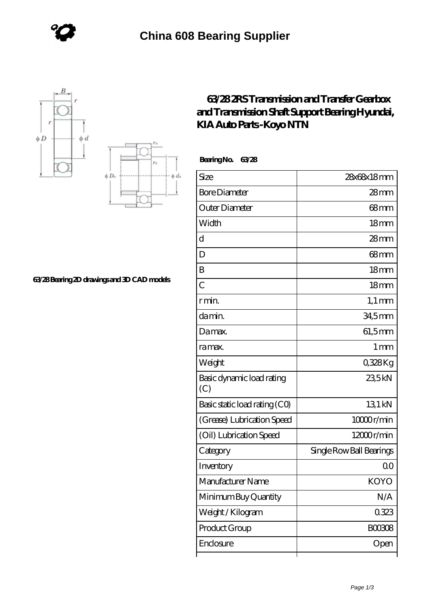





## **[63/28 Bearing 2D drawings and 3D CAD models](https://www.cheapeurostartickets.com/pic-828971.html)**

## **[63/28 2RS Transmission and Transfer Gearbox](https://www.cheapeurostartickets.com/nsk-696zz-bearing/63-28-2rs-transmission-and-transfer-gearbox-and-transmission-shaft-support-bearing-hyundai-kia-auto-parts-koyo-ntn.html) [and Transmission Shaft Support Bearing Hyundai,](https://www.cheapeurostartickets.com/nsk-696zz-bearing/63-28-2rs-transmission-and-transfer-gearbox-and-transmission-shaft-support-bearing-hyundai-kia-auto-parts-koyo-ntn.html) [KIA Auto Parts -Koyo NTN](https://www.cheapeurostartickets.com/nsk-696zz-bearing/63-28-2rs-transmission-and-transfer-gearbox-and-transmission-shaft-support-bearing-hyundai-kia-auto-parts-koyo-ntn.html)**

 **Bearing No. 63/28**

| Size                             | 28x68x18mm               |
|----------------------------------|--------------------------|
| <b>Bore Diameter</b>             | $28 \text{mm}$           |
| Outer Diameter                   | $68 \text{mm}$           |
| Width                            | 18 <sub>mm</sub>         |
| d                                | $28 \text{mm}$           |
| D                                | 68 <sub>mm</sub>         |
| B                                | 18 <sub>mm</sub>         |
| $\overline{C}$                   | 18 <sub>mm</sub>         |
| r min.                           | $1,1 \text{ mm}$         |
| da min.                          | 34,5mm                   |
| Damax.                           | 61,5mm                   |
| ra max.                          | 1 <sub>mm</sub>          |
| Weight                           | 0328Kg                   |
| Basic dynamic load rating<br>(C) | 235kN                    |
| Basic static load rating (CO)    | 13.1 kN                  |
| (Grease) Lubrication Speed       | 10000r/min               |
| (Oil) Lubrication Speed          | 12000r/min               |
| Category                         | Single Row Ball Bearings |
| Inventory                        | Q0                       |
| Manufacturer Name                | <b>KOYO</b>              |
| Minimum Buy Quantity             | N/A                      |
| Weight/Kilogram                  | 0323                     |
| Product Group                    | BOO3O8                   |
| Enclosure                        | Open                     |
|                                  |                          |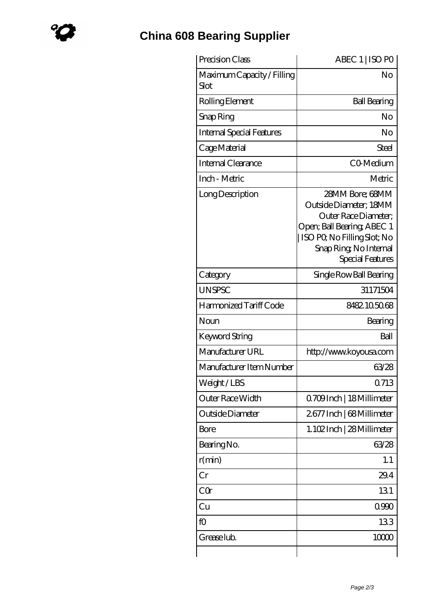## **[China 608 Bearing Supplier](https://www.cheapeurostartickets.com)**

| Precision Class                    | ABEC 1   ISO PO                                                                                                                                                              |
|------------------------------------|------------------------------------------------------------------------------------------------------------------------------------------------------------------------------|
| Maximum Capacity / Filling<br>Slot | No                                                                                                                                                                           |
| Rolling Element                    | <b>Ball Bearing</b>                                                                                                                                                          |
| Snap Ring                          | No                                                                                                                                                                           |
| Internal Special Features          | No                                                                                                                                                                           |
| Cage Material                      | Steel                                                                                                                                                                        |
| Internal Clearance                 | CO-Medium                                                                                                                                                                    |
| Inch - Metric                      | Metric                                                                                                                                                                       |
| Long Description                   | 28MM Bore; 68MM<br>Outside Diameter; 18MM<br>Outer Race Diameter;<br>Open; Ball Bearing; ABEC 1<br>ISO PO, No Filling Slot; No<br>Snap Ring, No Internal<br>Special Features |
| Category                           | Single Row Ball Bearing                                                                                                                                                      |
| <b>UNSPSC</b>                      | 31171504                                                                                                                                                                     |
| Harmonized Tariff Code             | 8482105068                                                                                                                                                                   |
| Noun                               | Bearing                                                                                                                                                                      |
| Keyword String                     | Ball                                                                                                                                                                         |
| Manufacturer URL                   | http://www.koyousa.com                                                                                                                                                       |
| Manufacturer Item Number           | 63/28                                                                                                                                                                        |
| Weight/LBS                         | 0713                                                                                                                                                                         |
| Outer Race Width                   | Q709Inch   18 Millimeter                                                                                                                                                     |
| Outside Diameter                   | 2677 Inch   68 Millimeter                                                                                                                                                    |
| Bore                               | 1.102Inch   28 Millimeter                                                                                                                                                    |
| Bearing No.                        | 63/28                                                                                                                                                                        |
| r(min)                             | 1.1                                                                                                                                                                          |
| Cr                                 | 29.4                                                                                                                                                                         |
| CQr                                | 131                                                                                                                                                                          |
| Cu                                 | 0990                                                                                                                                                                         |
| fO                                 | 133                                                                                                                                                                          |
| Grease lub.                        | 10000                                                                                                                                                                        |
|                                    |                                                                                                                                                                              |